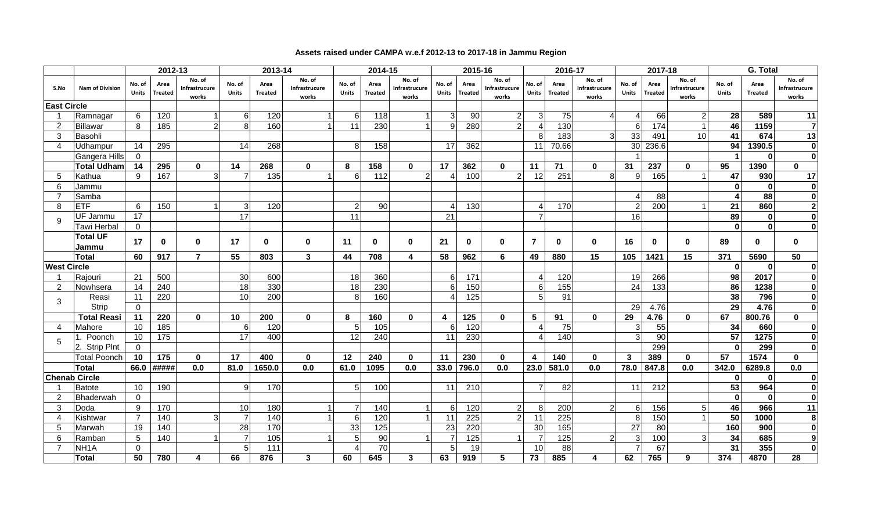|                       |                          |                        |                        |                                  |                 |                        |                                  |                        |                        |                                  |                 |                        |                                  |                        |                        |                                  |                        | 2017-18                |                                  |                        |                        |                                  |  |
|-----------------------|--------------------------|------------------------|------------------------|----------------------------------|-----------------|------------------------|----------------------------------|------------------------|------------------------|----------------------------------|-----------------|------------------------|----------------------------------|------------------------|------------------------|----------------------------------|------------------------|------------------------|----------------------------------|------------------------|------------------------|----------------------------------|--|
|                       |                          |                        | 2012-13                |                                  |                 | 2013-14                |                                  |                        | 2014-15                |                                  |                 | 2015-16                |                                  |                        | 2016-17                |                                  |                        |                        |                                  | G. Total               |                        |                                  |  |
| S.No                  | <b>Nam of Division</b>   | No. of<br><b>Units</b> | Area<br><b>Treated</b> | No. of<br>Infrastrucure<br>works | No. of<br>Units | Area<br><b>Treated</b> | No. of<br>Infrastrucure<br>works | No. of<br><b>Units</b> | Area<br><b>Treated</b> | No. of<br>Infrastrucure<br>works | No. of<br>Units | Area<br><b>Treated</b> | No. of<br>Infrastrucure<br>works | No. of<br><b>Units</b> | Area<br><b>Treated</b> | No. of<br>Infrastrucure<br>works | No. of<br><b>Units</b> | Area<br><b>Treated</b> | No. of<br>Infrastrucure<br>works | No. of<br><b>Units</b> | Area<br><b>Treated</b> | No. of<br>Infrastrucure<br>works |  |
| <b>East Circle</b>    |                          |                        |                        |                                  |                 |                        |                                  |                        |                        |                                  |                 |                        |                                  |                        |                        |                                  |                        |                        |                                  |                        |                        |                                  |  |
| - 1                   | Ramnagar                 | 6                      | 120                    |                                  | 6               | 120                    |                                  | 6                      | 118                    |                                  | 3               | 90                     | $\overline{2}$                   |                        | 75                     |                                  |                        | 66                     |                                  | 28                     | 589                    | 11                               |  |
| 2                     | Billawar                 | 8                      | 185                    | $\mathcal{P}$                    | 8               | 160                    |                                  | 11                     | 230                    |                                  | 9               | 280                    | $\overline{2}$                   |                        | 130                    |                                  | 6 <sup>1</sup>         | 174                    |                                  | 46                     | 1159                   | $\overline{7}$                   |  |
| 3                     | Basohli                  |                        |                        |                                  |                 |                        |                                  |                        |                        |                                  |                 |                        |                                  | 8                      | 183                    | 3                                | 33                     | 491                    | 10                               | 41                     | 674                    | 13                               |  |
| $\boldsymbol{\Delta}$ | Udhampur                 | 14                     | 295                    |                                  | 14              | 268                    |                                  | 8                      | 158                    |                                  | 17              | 362                    |                                  | 11                     | 70.66                  |                                  | 30                     | 236.6                  |                                  | 94                     | 1390.5                 | $\mathbf 0$                      |  |
|                       | Gangera Hills            | $\Omega$               |                        |                                  |                 |                        |                                  |                        |                        |                                  |                 |                        |                                  |                        |                        |                                  |                        |                        |                                  |                        | $\mathbf{0}$           | $\pmb{0}$                        |  |
|                       | Total Udham              | 14                     | 295                    | $\mathbf{0}$                     | 14              | 268                    | $\bf{0}$                         | 8                      | 158                    | $\mathbf{0}$                     | 17              | 362                    | $\mathbf 0$                      | 11                     | 71                     | $\bf{0}$                         | 31                     | 237                    | $\mathbf 0$                      | 95                     | 1390                   | $\mathbf 0$                      |  |
| .5                    | Kathua                   | 9                      | 167                    | 3                                | $\overline{7}$  | 135                    |                                  | 6                      | 112                    | 2                                | Δ               | 100                    | $\overline{2}$                   | 12                     | 251                    | 8                                | 9                      | 165                    |                                  | 47                     | 930                    | 17                               |  |
| 6                     | Jammu                    |                        |                        |                                  |                 |                        |                                  |                        |                        |                                  |                 |                        |                                  |                        |                        |                                  |                        |                        |                                  | $\Omega$               | $\mathbf{0}$           | $\mathbf 0$                      |  |
| $\overline{7}$        | Samba                    |                        |                        |                                  |                 |                        |                                  |                        |                        |                                  |                 |                        |                                  |                        |                        |                                  |                        | 88                     |                                  |                        | 88                     | $\mathbf 0$                      |  |
| 8                     | ETF                      | 6                      | 150                    |                                  | $\mathbf{3}$    | 120                    |                                  | $\overline{2}$         | 90                     |                                  | 4               | 130                    |                                  |                        | 170                    |                                  | $\overline{2}$         | 200                    |                                  | 21                     | 860                    | $\overline{\mathbf{c}}$          |  |
| 9                     | UF Jammu                 | 17                     |                        |                                  | $\overline{17}$ |                        |                                  | 11                     |                        |                                  | 21              |                        |                                  |                        |                        |                                  | 16                     |                        |                                  | 89                     | $\mathbf{0}$           | $\mathbf 0$                      |  |
|                       | Tawi Herbal              | $\mathbf 0$            |                        |                                  |                 |                        |                                  |                        |                        |                                  |                 |                        |                                  |                        |                        |                                  |                        |                        |                                  | $\bf{0}$               | $\mathbf{0}$           | $\mathbf{0}$                     |  |
|                       | <b>Total UF</b><br>Jammu | 17                     | $\bf{0}$               | $\bf{0}$                         | 17              | $\bf{0}$               | $\mathbf{0}$                     | 11                     | 0                      | $\bf{0}$                         | 21              | $\bf{0}$               | $\bf{0}$                         | $\overline{7}$         | $\bf{0}$               | $\mathbf{0}$                     | 16                     | $\mathbf{0}$           | $\mathbf{0}$                     | 89                     | $\mathbf{0}$           | $\mathbf{0}$                     |  |
|                       | <b>Total</b>             | 60                     | 917                    | $\overline{7}$                   | 55              | 803                    | 3                                | 44                     | 708                    | 4                                | 58              | 962                    | 6                                | 49                     | 880                    | 15                               | 105                    | 1421                   | 15                               | 371                    | 5690                   | 50                               |  |
| <b>West Circle</b>    |                          |                        |                        |                                  |                 |                        |                                  |                        |                        |                                  |                 |                        |                                  |                        |                        |                                  |                        |                        |                                  | $\mathbf{0}$           | $\mathbf{0}$           | $\mathbf{0}$                     |  |
|                       | Rajouri                  | 21                     | 500                    |                                  | 30              | 600                    |                                  | 18                     | 360                    |                                  | 6               | 171                    |                                  |                        | 120                    |                                  | 19                     | 266                    |                                  | 98                     | 2017                   | $\mathbf 0$                      |  |
| $\overline{2}$        | Nowhsera                 | 14                     | 240                    |                                  | 18              | 330                    |                                  | 18                     | 230                    |                                  | 6               | 150                    |                                  | 6                      | 155                    |                                  | 24                     | 133                    |                                  | 86                     | 1238                   | $\pmb{0}$                        |  |
|                       | Reasi                    | 11                     | 220                    |                                  | 10              | 200                    |                                  | 8                      | 160                    |                                  |                 | 125                    |                                  | 5                      | 91                     |                                  |                        |                        |                                  | 38                     | 796                    | $\mathbf 0$                      |  |
| 3                     | Strip                    | $\Omega$               |                        |                                  |                 |                        |                                  |                        |                        |                                  |                 |                        |                                  |                        |                        |                                  | 29                     | 4.76                   |                                  | 29                     | 4.76                   | $\mathbf 0$                      |  |
|                       | <b>Total Reasi</b>       | 11                     | 220                    | $\mathbf{0}$                     | 10              | 200                    | $\mathbf{0}$                     | 8                      | 160                    | $\mathbf{0}$                     | 4               | 125                    | $\mathbf 0$                      | 5                      | 91                     | $\mathbf{0}$                     | 29                     | 4.76                   | $\mathbf{0}$                     | 67                     | 800.76                 | $\mathbf{0}$                     |  |
| $\overline{4}$        | Mahore                   | 10                     | 185                    |                                  | 6               | 120                    |                                  | 5                      | 105                    |                                  | 6               | 120                    |                                  |                        | 75                     |                                  | 3                      | 55                     |                                  | 34                     | 660                    | $\mathbf 0$                      |  |
| .5                    | 1. Poonch                | 10                     | 175                    |                                  | 17              | 400                    |                                  | 12                     | 240                    |                                  | 11              | 230                    |                                  |                        | 140                    |                                  | 3                      | 90                     |                                  | 57                     | 1275                   | $\mathbf 0$                      |  |
|                       | 2. Strip Plnt            | $\Omega$               |                        |                                  |                 |                        |                                  |                        |                        |                                  |                 |                        |                                  |                        |                        |                                  |                        | 299                    |                                  | $\mathbf{0}$           | 299                    | $\mathbf 0$                      |  |
|                       | Total Poonch             | 10                     | 175                    | $\mathbf{0}$                     | 17              | 400                    | $\mathbf{0}$                     | 12                     | 240                    | $\bf{0}$                         | 11              | 230                    | $\mathbf 0$                      | 4                      | 140                    | $\bf{0}$                         | $\mathbf{3}$           | 389                    | $\mathbf 0$                      | 57                     | 1574                   | $\mathbf 0$                      |  |
|                       | <b>Total</b>             | 66.0                   | #####                  | 0.0                              | 81.0            | 1650.0                 | 0.0                              | 61.0                   | 1095                   | 0.0                              | 33.0            | 796.0                  | 0.0                              | 23.0                   | 581.0                  | 0.0                              | 78.0                   | 847.8                  | 0.0                              | 342.0                  | 6289.8                 | 0.0                              |  |
|                       | <b>Chenab Circle</b>     |                        |                        |                                  |                 |                        |                                  |                        |                        |                                  |                 |                        |                                  |                        |                        |                                  |                        |                        |                                  | <sup>0</sup>           | $\mathbf{0}$           | $\mathbf 0$                      |  |
|                       | Batote                   | 10                     | 190                    |                                  | 9               | 170                    |                                  | 5                      | 100                    |                                  | 11              | 210                    |                                  |                        | 82                     |                                  | 11                     | 212                    |                                  | 53                     | 964                    | $\mathbf 0$                      |  |
| 2                     | Bhaderwah                | $\Omega$               |                        |                                  |                 |                        |                                  |                        |                        |                                  |                 |                        |                                  |                        |                        |                                  |                        |                        |                                  | $\Omega$               | $\mathbf{0}$           | $\mathbf 0$                      |  |
| 3                     | Doda                     | 9                      | 170                    |                                  | 10              | 180                    |                                  | $\overline{7}$         | 140                    |                                  | 6               | 120                    | $\overline{2}$                   | 8                      | 200                    | 2                                | $6 \mid$               | 156                    |                                  | 46                     | 966                    | 11                               |  |
| 4                     | Kishtwar                 | $\overline{7}$         | 140                    | 3                                | $\overline{7}$  | 140                    |                                  | 6                      | 120                    | 1                                | 11              | 225                    | $\overline{2}$                   | 11                     | 225                    |                                  | 8                      | 150                    |                                  | 50                     | 1000                   | 8                                |  |
| 5                     | Marwah                   | 19                     | 140                    |                                  | 28              | 170                    |                                  | 33                     | 125                    |                                  | 23              | 220                    |                                  | 30                     | 165                    |                                  | 27                     | 80                     |                                  | 160                    | 900                    | $\mathbf 0$                      |  |
| 6                     | Ramban                   | 5                      | 140                    |                                  | $\overline{7}$  | 105                    |                                  | 5                      | 90                     |                                  |                 | 125                    |                                  |                        | 125                    |                                  | 3                      | 100                    |                                  | 34                     | 685                    | $\boldsymbol{9}$                 |  |
| 7                     | NH <sub>1</sub> A        | $\Omega$               |                        |                                  | 5               | 111                    |                                  |                        | 70                     |                                  | 5               | 19                     |                                  | 10                     | 88                     |                                  |                        | 67                     |                                  | 31                     | 355                    | $\mathbf 0$                      |  |
|                       | <b>Total</b>             | 50                     | 780                    |                                  | 66              | 876                    | 3                                | 60                     | 645                    | 3                                | 63              | 919                    | 5                                | 73                     | 885                    | 4                                | 62                     | 765                    | 9                                | 374                    | 4870                   | 28                               |  |

## **Assets raised under CAMPA w.e.f 2012-13 to 2017-18 in Jammu Region**